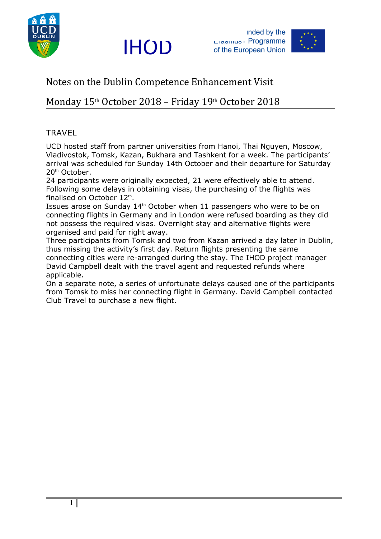







## Notes on the Dublin Competence Enhancement Visit

# Monday 15<sup>th</sup> October 2018 – Friday 19<sup>th</sup> October 2018

### **TRAVEL**

UCD hosted staff from partner universities from Hanoi, Thai Nguyen, Moscow, Vladivostok, Tomsk, Kazan, Bukhara and Tashkent for a week. The participants' arrival was scheduled for Sunday 14th October and their departure for Saturday 20<sup>th</sup> October.

24 participants were originally expected, 21 were effectively able to attend. Following some delays in obtaining visas, the purchasing of the flights was finalised on October  $12<sup>th</sup>$ .<br>Issues arose on Sunday  $14<sup>th</sup>$  October when 11 passengers who were to be on

connecting flights in Germany and in London were refused boarding as they did not possess the required visas. Overnight stay and alternative flights were organised and paid for right away.

Three participants from Tomsk and two from Kazan arrived a day later in Dublin, thus missing the activity's first day. Return flights presenting the same connecting cities were re-arranged during the stay. The IHOD project manager David Campbell dealt with the travel agent and requested refunds where applicable.

On a separate note, a series of unfortunate delays caused one of the participants from Tomsk to miss her connecting flight in Germany. David Campbell contacted Club Travel to purchase a new flight.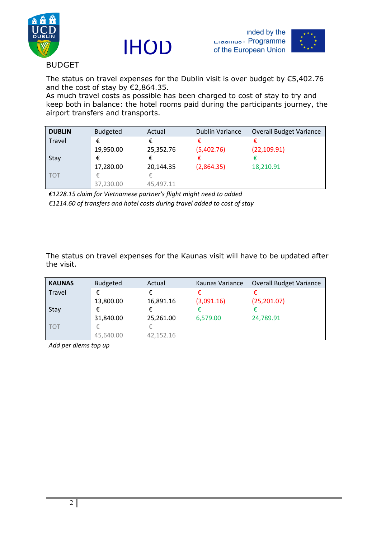







### The status on travel expenses for the Dublin visit is over budget by €5,402.76 and the cost of stay by €2,864.35.

As much travel costs as possible has been charged to cost of stay to try and keep both in balance: the hotel rooms paid during the participants journey, the airport transfers and transports.

| <b>DUBLIN</b> | <b>Budgeted</b> | Actual    | <b>Dublin Variance</b> | Overall Budget Variance |
|---------------|-----------------|-----------|------------------------|-------------------------|
| Travel        | €               |           |                        |                         |
|               | 19,950.00       | 25,352.76 | (5,402.76)             | (22, 109.91)            |
| Stay          | €               |           |                        |                         |
|               | 17,280.00       | 20,144.35 | (2,864.35)             | 18,210.91               |
| TO1           | €               |           |                        |                         |
|               | 37,230.00       | 45,497.11 |                        |                         |

*€1228.15 claim for Vietnamese partner's flight might need to added €1214.60 of transfers and hotel costs during travel added to cost of stay*

The status on travel expenses for the Kaunas visit will have to be updated after the visit.

| <b>KAUNAS</b> | <b>Budgeted</b> | Actual    | Kaunas Variance | <b>Overall Budget Variance</b> |
|---------------|-----------------|-----------|-----------------|--------------------------------|
| Travel        | €               |           |                 |                                |
|               | 13,800.00       | 16,891.16 | (3,091.16)      | (25, 201.07)                   |
| Stay          |                 |           |                 |                                |
|               | 31,840.00       | 25,261.00 | 6,579.00        | 24,789.91                      |
| <b>TOT</b>    | €               |           |                 |                                |
|               | 45,640.00       | 42,152.16 |                 |                                |

*Add per diems top up*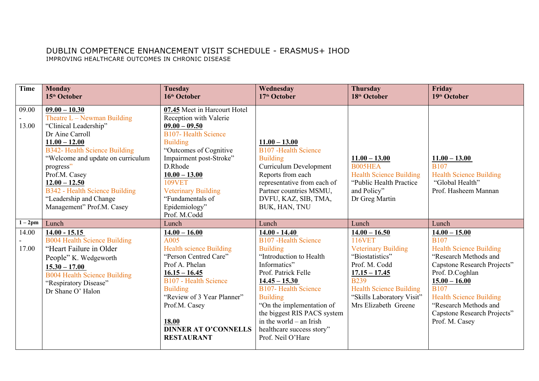#### DUBLIN COMPETENCE ENHANCEMENT VISIT SCHEDULE - ERASMUS+ IHOD IMPROVING HEALTHCARE OUTCOMES IN CHRONIC DISEASE

| Time           | <b>Monday</b><br>15 <sup>th</sup> October                                                                                                                                                                                                                                                                                              | <b>Tuesday</b><br>16 <sup>th</sup> October                                                                                                                                                                                                                                                                        | Wednesday<br>17 <sup>th</sup> October                                                                                                                                                                                                                                                                                                              | <b>Thursday</b><br>18 <sup>th</sup> October                                                                                                                                                                                 | Friday<br>19 <sup>th</sup> October                                                                                                                                                                                                                                                        |
|----------------|----------------------------------------------------------------------------------------------------------------------------------------------------------------------------------------------------------------------------------------------------------------------------------------------------------------------------------------|-------------------------------------------------------------------------------------------------------------------------------------------------------------------------------------------------------------------------------------------------------------------------------------------------------------------|----------------------------------------------------------------------------------------------------------------------------------------------------------------------------------------------------------------------------------------------------------------------------------------------------------------------------------------------------|-----------------------------------------------------------------------------------------------------------------------------------------------------------------------------------------------------------------------------|-------------------------------------------------------------------------------------------------------------------------------------------------------------------------------------------------------------------------------------------------------------------------------------------|
| 09.00<br>13.00 | $09.00 - 10.30$<br>Theatre $L -$ Newman Building<br>"Clinical Leadership"<br>Dr Aine Carroll<br>$11.00 - 12.00$<br><b>B342- Health Science Building</b><br>"Welcome and update on curriculum<br>progress"<br>Prof.M. Casey<br>$12.00 - 12.50$<br>B342 - Health Science Building<br>"Leadership and Change<br>Management" Prof.M. Casey | 07.45 Meet in Harcourt Hotel<br>Reception with Valerie<br>$09.00 - 09.50$<br><b>B107-Health Science</b><br><b>Building</b><br>"Outcomes of Cognitive<br>Impairment post-Stroke"<br>D.Rhode<br>$10.00 - 13.00$<br><b>109VET</b><br><b>Veterinary Building</b><br>"Fundamentals of<br>Epidemiology"<br>Prof. M.Codd | $11.00 - 13.00$<br><b>B107</b> -Health Science<br><b>Building</b><br>Curriculum Development<br>Reports from each<br>representative from each of<br>Partner countries MSMU,<br>DVFU, KAZ, SIB, TMA,<br>BUK, HAN, TNU                                                                                                                                | $11.00 - 13.00$<br>B005HEA<br><b>Health Science Building</b><br>"Public Health Practice"<br>and Policy"<br>Dr Greg Martin                                                                                                   | $11.00 - 13.00$<br><b>B107</b><br><b>Health Science Building</b><br>"Global Health"<br>Prof. Hasheem Mannan                                                                                                                                                                               |
| $1-2pm$        | Lunch                                                                                                                                                                                                                                                                                                                                  | Lunch                                                                                                                                                                                                                                                                                                             | Lunch                                                                                                                                                                                                                                                                                                                                              | Lunch                                                                                                                                                                                                                       | Lunch                                                                                                                                                                                                                                                                                     |
| 14.00<br>17.00 | $14.00 - 15.15$<br><b>B004 Health Science Building</b><br>"Heart Failure in Older<br>People" K. Wedgeworth<br>$15.30 - 17.00$<br><b>B004 Health Science Building</b><br>"Respiratory Disease"<br>Dr Shane O' Halon                                                                                                                     | $14.00 - 16.00$<br>A005<br><b>Health science Building</b><br>"Person Centred Care"<br>Prof A. Phelan<br>$16.15 - 16.45$<br><b>B107 - Health Science</b><br><b>Building</b><br>"Review of 3 Year Planner"<br>Prof.M. Casey<br>18.00<br><b>DINNER AT O'CONNELLS</b><br><b>RESTAURANT</b>                            | $14.00 - 14.40$<br><b>B107</b> -Health Science<br><b>Building</b><br>"Introduction to Health<br>Informatics"<br>Prof. Patrick Felle<br>$14.45 - 15.30$<br><b>B107-Health Science</b><br><b>Building</b><br>"On the implementation of<br>the biggest RIS PACS system<br>in the world $-$ an Irish<br>healthcare success story"<br>Prof. Neil O'Hare | $14.00 - 16.50$<br><b>116VET</b><br><b>Veterinary Building</b><br>"Biostatistics"<br>Prof. M. Codd<br>$17.15 - 17.45$<br><b>B239</b><br><b>Health Science Building</b><br>"Skills Laboratory Visit"<br>Mrs Elizabeth Greene | $14.00 - 15.00$<br><b>B107</b><br><b>Health Science Building</b><br>"Research Methods and<br>Capstone Research Projects"<br>Prof. D.Coghlan<br>$15.00 - 16.00$<br><b>B107</b><br><b>Health Science Building</b><br>"Research Methods and<br>Capstone Research Projects"<br>Prof. M. Casey |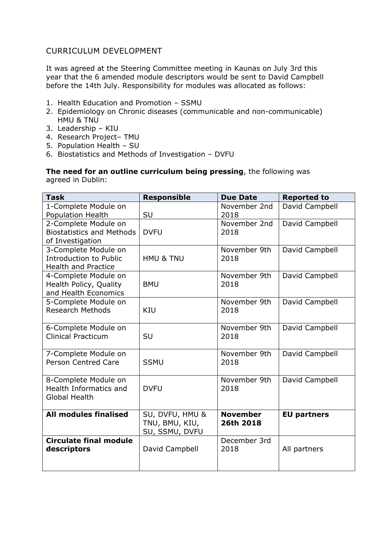## CURRICULUM DEVELOPMENT

It was agreed at the Steering Committee meeting in Kaunas on July 3rd this year that the 6 amended module descriptors would be sent to David Campbell before the 14th July. Responsibility for modules was allocated as follows:

- 1. Health Education and Promotion SSMU
- 2. Epidemiology on Chronic diseases (communicable and non-communicable) HMU & TNU
- 3. Leadership KIU
- 4. Research Project– TMU
- 5. Population Health SU
- 6. Biostatistics and Methods of Investigation DVFU

**The need for an outline curriculum being pressing**, the following was agreed in Dublin:

| <b>Task</b>                                    | <b>Responsible</b>   | <b>Due Date</b> | <b>Reported to</b> |  |
|------------------------------------------------|----------------------|-----------------|--------------------|--|
| 1-Complete Module on                           |                      | November 2nd    | David Campbell     |  |
| <b>Population Health</b>                       | SU                   | 2018            |                    |  |
| 2-Complete Module on                           |                      | November 2nd    | David Campbell     |  |
| <b>Biostatistics and Methods</b>               | <b>DVFU</b>          | 2018            |                    |  |
| of Investigation                               |                      |                 |                    |  |
| 3-Complete Module on                           |                      | November 9th    | David Campbell     |  |
| Introduction to Public                         | <b>HMU &amp; TNU</b> | 2018            |                    |  |
| <b>Health and Practice</b>                     |                      |                 |                    |  |
| 4-Complete Module on                           |                      | November 9th    | David Campbell     |  |
| Health Policy, Quality                         | <b>BMU</b>           | 2018            |                    |  |
| and Health Economics                           |                      |                 |                    |  |
| 5-Complete Module on                           |                      | November 9th    | David Campbell     |  |
| <b>Research Methods</b>                        | KIU                  | 2018            |                    |  |
|                                                |                      |                 |                    |  |
| 6-Complete Module on                           |                      | November 9th    | David Campbell     |  |
| <b>Clinical Practicum</b>                      | SU                   | 2018            |                    |  |
|                                                |                      |                 |                    |  |
| 7-Complete Module on                           |                      | November 9th    | David Campbell     |  |
| <b>Person Centred Care</b>                     | <b>SSMU</b>          | 2018            |                    |  |
|                                                |                      |                 |                    |  |
| 8-Complete Module on<br>Health Informatics and | <b>DVFU</b>          | November 9th    | David Campbell     |  |
| Global Health                                  |                      | 2018            |                    |  |
|                                                |                      |                 |                    |  |
| <b>All modules finalised</b>                   | SU, DVFU, HMU &      | <b>November</b> | <b>EU partners</b> |  |
|                                                | TNU, BMU, KIU,       | 26th 2018       |                    |  |
|                                                | SU, SSMU, DVFU       |                 |                    |  |
| <b>Circulate final module</b>                  |                      | December 3rd    |                    |  |
| descriptors                                    | David Campbell       | 2018            | All partners       |  |
|                                                |                      |                 |                    |  |
|                                                |                      |                 |                    |  |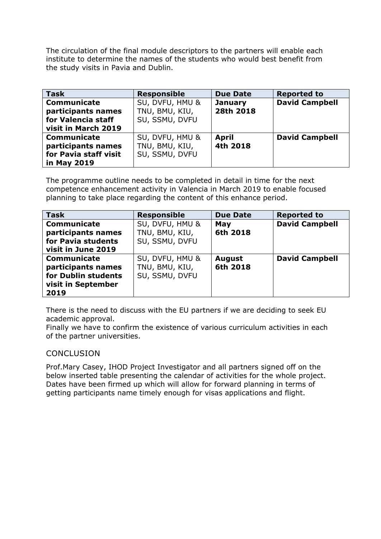The circulation of the final module descriptors to the partners will enable each institute to determine the names of the students who would best benefit from the study visits in Pavia and Dublin.

| <b>Task</b>           | <b>Responsible</b> | <b>Due Date</b> | <b>Reported to</b>    |
|-----------------------|--------------------|-----------------|-----------------------|
| <b>Communicate</b>    | SU, DVFU, HMU &    | <b>January</b>  | <b>David Campbell</b> |
| participants names    | TNU, BMU, KIU,     | 28th 2018       |                       |
| for Valencia staff    | SU, SSMU, DVFU     |                 |                       |
| visit in March 2019   |                    |                 |                       |
| <b>Communicate</b>    | SU, DVFU, HMU &    | <b>April</b>    | <b>David Campbell</b> |
| participants names    | TNU, BMU, KIU,     | 4th 2018        |                       |
| for Pavia staff visit | SU, SSMU, DVFU     |                 |                       |
| in May 2019           |                    |                 |                       |

The programme outline needs to be completed in detail in time for the next competence enhancement activity in Valencia in March 2019 to enable focused planning to take place regarding the content of this enhance period.

| <b>Task</b>         | <b>Responsible</b> | <b>Due Date</b> | <b>Reported to</b>    |
|---------------------|--------------------|-----------------|-----------------------|
| <b>Communicate</b>  | SU, DVFU, HMU &    | May             | <b>David Campbell</b> |
| participants names  | TNU, BMU, KIU,     | 6th 2018        |                       |
| for Pavia students  | SU, SSMU, DVFU     |                 |                       |
| visit in June 2019  |                    |                 |                       |
| <b>Communicate</b>  | SU, DVFU, HMU &    | <b>August</b>   | <b>David Campbell</b> |
| participants names  | TNU, BMU, KIU,     | 6th 2018        |                       |
| for Dublin students | SU, SSMU, DVFU     |                 |                       |
| visit in September  |                    |                 |                       |
| 2019                |                    |                 |                       |

There is the need to discuss with the EU partners if we are deciding to seek EU academic approval.

Finally we have to confirm the existence of various curriculum activities in each of the partner universities.

#### **CONCLUSION**

Prof.Mary Casey, IHOD Project Investigator and all partners signed off on the below inserted table presenting the calendar of activities for the whole project. Dates have been firmed up which will allow for forward planning in terms of getting participants name timely enough for visas applications and flight.